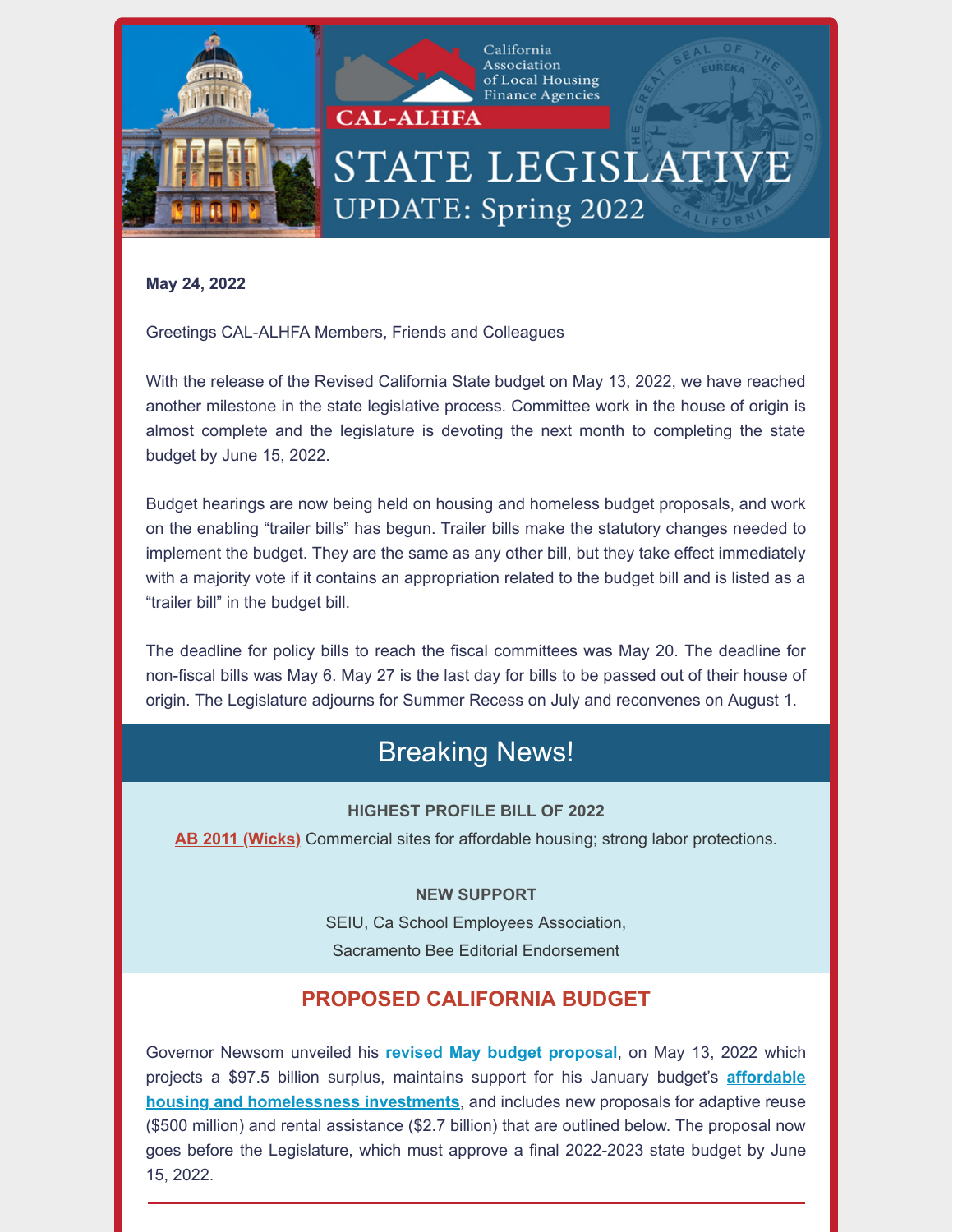

California Association of Local Housing Finance Agencies

# STATE LEGISLATIVE **UPDATE: Spring 2022**

**May 24, 2022**

Greetings CAL-ALHFA Members, Friends and Colleagues

With the release of the Revised California State budget on May 13, 2022, we have reached another milestone in the state legislative process. Committee work in the house of origin is almost complete and the legislature is devoting the next month to completing the state budget by June 15, 2022.

Budget hearings are now being held on housing and homeless budget proposals, and work on the enabling "trailer bills" has begun. Trailer bills make the statutory changes needed to implement the budget. They are the same as any other bill, but they take effect immediately with a majority vote if it contains an appropriation related to the budget bill and is listed as a "trailer bill" in the budget bill.

The deadline for policy bills to reach the fiscal committees was May 20. The deadline for non-fiscal bills was May 6. May 27 is the last day for bills to be passed out of their house of origin. The Legislature adjourns for Summer Recess on July and reconvenes on August 1.

# Breaking News!

#### **HIGHEST PROFILE BILL OF 2022**

**[AB 2011](https://leginfo.legislature.ca.gov/faces/billNavClient.xhtml?bill_id=202120220AB2011) (Wicks)** Commercial sites for affordable housing; strong labor protections.

#### **NEW SUPPORT**

SEIU, Ca School Employees Association, Sacramento Bee Editorial Endorsement

## **PROPOSED CALIFORNIA BUDGET**

Governor Newsom unveiled his **[revised May budget proposal](https://www.ebudget.ca.gov/budget/2022-23MR/#/BudgetSummary)**, on May 13, 2022 which [projects a \\$97.5 billion surplus, maintains support for his January budget's](https://www.ebudget.ca.gov/2022-23/pdf/Revised/BudgetSummary/HousingandHomelessness.pdf) **affordable housing and homelessness investments**, and includes new proposals for adaptive reuse (\$500 million) and rental assistance (\$2.7 billion) that are outlined below. The proposal now goes before the Legislature, which must approve a final 2022-2023 state budget by June 15, 2022.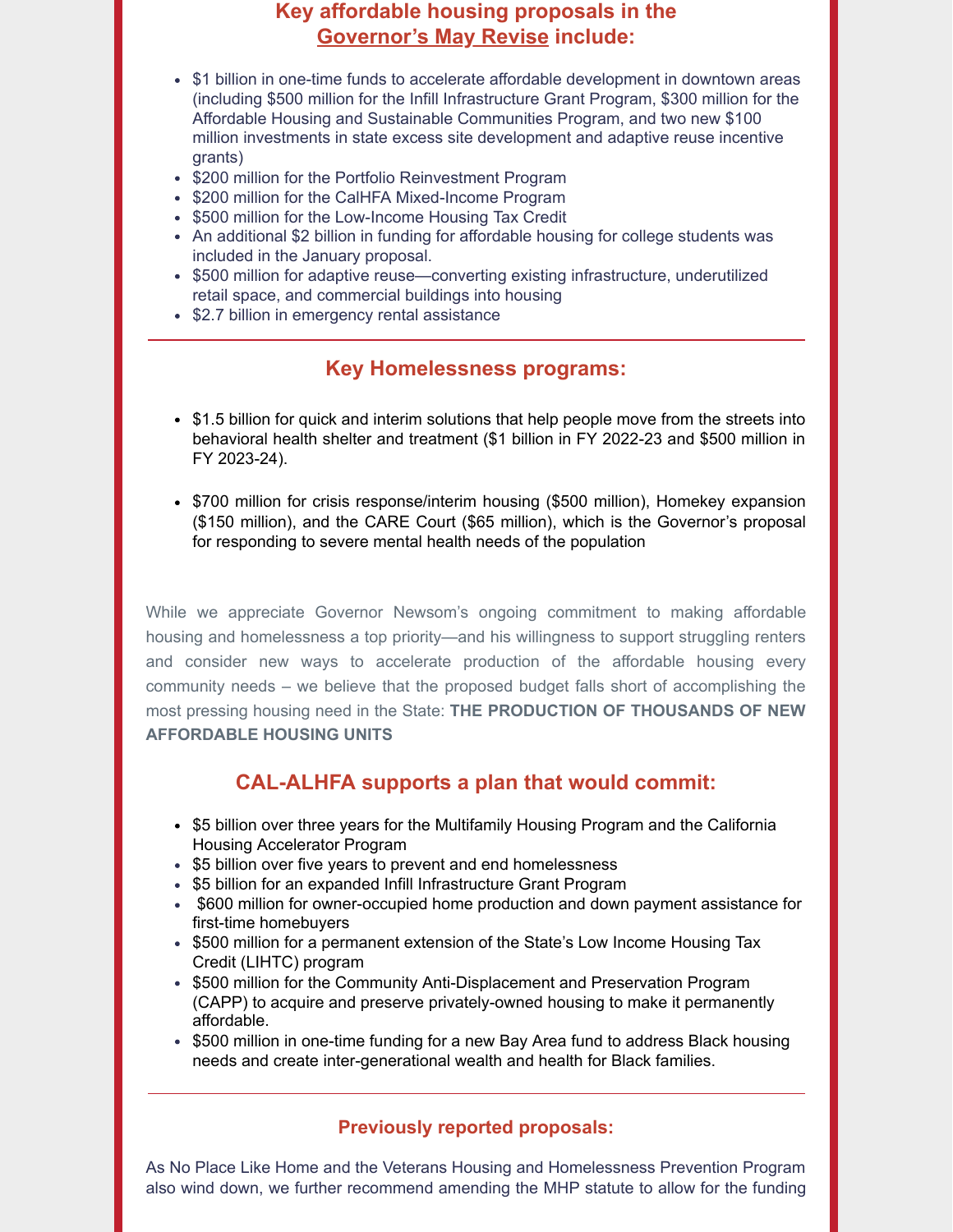#### **Key affordable housing proposals in the [Governor's May Revise](https://www.ebudget.ca.gov/budget/2022-23MR/#/BudgetSummary) include:**

- \$1 billion in one-time funds to accelerate affordable development in downtown areas (including \$500 million for the Infill Infrastructure Grant Program, \$300 million for the Affordable Housing and Sustainable Communities Program, and two new \$100 million investments in state excess site development and adaptive reuse incentive grants)
- \$200 million for the Portfolio Reinvestment Program
- \$200 million for the CalHFA Mixed-Income Program
- \$500 million for the Low-Income Housing Tax Credit
- An additional \$2 billion in funding for affordable housing for college students was included in the January proposal.
- \$500 million for adaptive reuse—converting existing infrastructure, underutilized retail space, and commercial buildings into housing
- \$2.7 billion in emergency rental assistance

#### **Key Homelessness programs:**

- \$1.5 billion for quick and interim solutions that help people move from the streets into behavioral health shelter and treatment (\$1 billion in FY 2022-23 and \$500 million in FY 2023-24).
- \$700 million for crisis response/interim housing (\$500 million), Homekey expansion (\$150 million), and the CARE Court (\$65 million), which is the Governor's proposal for responding to severe mental health needs of the population

While we appreciate Governor Newsom's ongoing commitment to making affordable housing and homelessness a top priority—and his willingness to support struggling renters and consider new ways to accelerate production of the affordable housing every community needs – we believe that the proposed budget falls short of accomplishing the most pressing housing need in the State: **THE PRODUCTION OF THOUSANDS OF NEW AFFORDABLE HOUSING UNITS**

## **CAL-ALHFA supports a plan that would commit:**

- \$5 billion over three years for the Multifamily Housing Program and the California Housing Accelerator Program
- \$5 billion over five years to prevent and end homelessness
- \$5 billion for an expanded Infill Infrastructure Grant Program
- \$600 million for owner-occupied home production and down payment assistance for first-time homebuyers
- \$500 million for a permanent extension of the State's Low Income Housing Tax Credit (LIHTC) program
- \$500 million for the Community Anti-Displacement and Preservation Program (CAPP) to acquire and preserve privately-owned housing to make it permanently affordable.
- \$500 million in one-time funding for a new Bay Area fund to address Black housing needs and create inter-generational wealth and health for Black families.

#### **Previously reported proposals:**

As No Place Like Home and the Veterans Housing and Homelessness Prevention Program also wind down, we further recommend amending the MHP statute to allow for the funding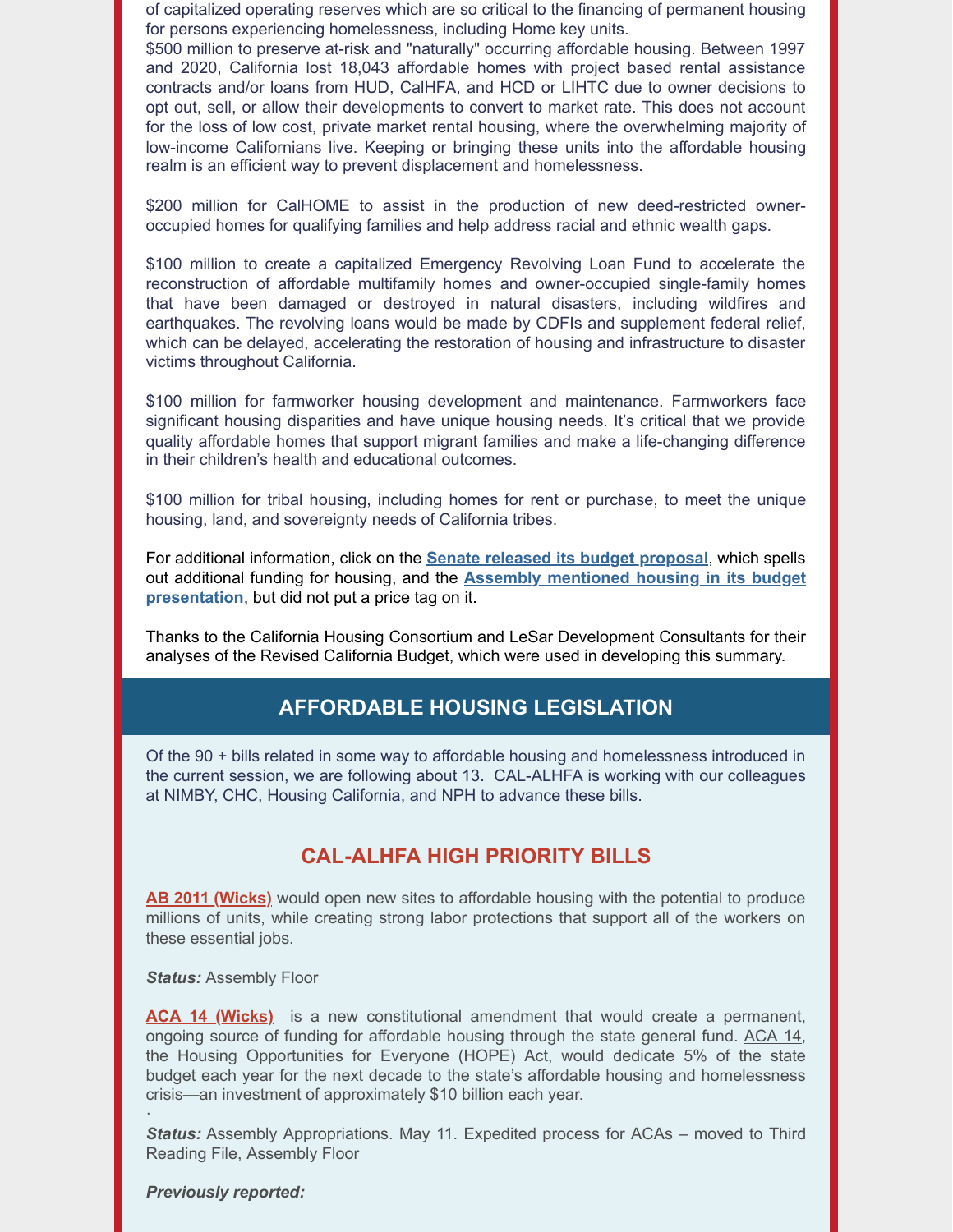of capitalized operating reserves which are so critical to the financing of permanent housing for persons experiencing homelessness, including Home key units.

\$500 million to preserve at-risk and "naturally" occurring affordable housing. Between 1997 and 2020, California lost 18,043 affordable homes with project based rental assistance contracts and/or loans from HUD, CalHFA, and HCD or LIHTC due to owner decisions to opt out, sell, or allow their developments to convert to market rate. This does not account for the loss of low cost, private market rental housing, where the overwhelming majority of low-income Californians live. Keeping or bringing these units into the affordable housing realm is an efficient way to prevent displacement and homelessness.

\$200 million for CalHOME to assist in the production of new deed-restricted owneroccupied homes for qualifying families and help address racial and ethnic wealth gaps.

\$100 million to create a capitalized Emergency Revolving Loan Fund to accelerate the reconstruction of affordable multifamily homes and owner-occupied single-family homes that have been damaged or destroyed in natural disasters, including wildfires and earthquakes. The revolving loans would be made by CDFIs and supplement federal relief, which can be delayed, accelerating the restoration of housing and infrastructure to disaster victims throughout California.

\$100 million for farmworker housing development and maintenance. Farmworkers face significant housing disparities and have unique housing needs. It's critical that we provide quality affordable homes that support migrant families and make a life-changing difference in their children's health and educational outcomes.

\$100 million for tribal housing, including homes for rent or purchase, to meet the unique housing, land, and sovereignty needs of California tribes.

For additional information, click on the **[Senate released its budget proposal](https://r20.rs6.net/tn.jsp?f=001hZXBiR-_aZWz1R89ZoZqZFuNMGcgIM1Yw54KcbhKHzX3V0E0wZ0T6RS6QgwQ3FuQdlg-J_FDwYrrsaJ9ch7WeUboAXRJj_COOPnPxCUvO3TyWWMvJeCSo4HIFpL5A2j_yrydfRmp2o6EfU9vszJ5MZ498ACGZZ8dO1HM9r5m18V3xZiaurgRzg7_8WpI-_BRzCYJEUpSh_-MmLSjDZXgRPWUXmQi1d8yD1-GxWtnY0hOqwP6CvSOWqvNPC7yMCIhusacK5cpsjAq3wAarIfladbmdFYWlHBg&c=WN5pS1ZtfwV7ddIKjtbLeod7WllDfcZVeNKgk-zjfyShZsVoDVQqzA==&ch=UqhKIQ0B9sMYcMCyX2m1Hcazl9Bv93ZyMpb_Jf29yK4P9-REiDZI6A==)**, which spells out additional funding for housing, and the **[Assembly mentioned housing in its budget](https://r20.rs6.net/tn.jsp?f=001hZXBiR-_aZWz1R89ZoZqZFuNMGcgIM1Yw54KcbhKHzX3V0E0wZ0T6RS6QgwQ3FuQR6HDZ7uYLrVQ5i6amj5SEuirXY2uvSqQdTTlohFqh9Nw15-alQlrH9N3-Se-uuFPHv-YMJ2cYb8bJRXwucfkts-dgZMDjE5cpv-HnVRwWeGNZp91mNWT7nLUheQ0pQz_SiimXFbMMfz-_ou14gIDMXMFXnyPXDcvX8V4UYTN2nqZagff9Oqmug==&c=WN5pS1ZtfwV7ddIKjtbLeod7WllDfcZVeNKgk-zjfyShZsVoDVQqzA==&ch=UqhKIQ0B9sMYcMCyX2m1Hcazl9Bv93ZyMpb_Jf29yK4P9-REiDZI6A==) presentation**, but did not put a price tag on it.

Thanks to the California Housing Consortium and LeSar Development Consultants for their analyses of the Revised California Budget, which were used in developing this summary.

#### **AFFORDABLE HOUSING LEGISLATION**

Of the 90 + bills related in some way to affordable housing and homelessness introduced in the current session, we are following about 13. CAL-ALHFA is working with our colleagues at NIMBY, CHC, Housing California, and NPH to advance these bills.

#### **CAL-ALHFA HIGH PRIORITY BILLS**

**[AB 2011](https://leginfo.legislature.ca.gov/faces/billNavClient.xhtml?bill_id=202120220AB2011) (Wicks)** would open new sites to affordable housing with the potential to produce millions of units, while creating strong labor protections that support all of the workers on these essential jobs.

*Status:* Assembly Floor

**[ACA 14 \(Wicks\)](https://leginfo.legislature.ca.gov/faces/billNavClient.xhtml?bill_id=202120220ACA14)** is a new constitutional amendment that would create a permanent, ongoing source of funding for affordable housing through the state general fund. [ACA 14](https://r20.rs6.net/tn.jsp?f=001LR-zFGhhtclANuGky-fd7VRS9YjyaQgRYCGUSLhvPgt3XYy8BSMY-XeZ5pxHMnEn4owLDFz3PBrVGcptQpbClrJ_XfbN_s4iXcPPEWTINQ9_69hmQ8EOU-CgYeF0C-lJ7CqYSFYf3MR5RjTzEdd9cpZZLlsWgiCK9oCdDA6pX_VXdTqBCwQZ3FwJftMzmZk8bk4jh2olZx3CD9WIWSVduc2Kk1ifdVVts3DkvG0rj0A=&c=-2flsJYtH12mqXgdXhIF20wqweE7WF8KfYZX4QtYLCkjloXGTFTD5A==&ch=85Q_VvZgB4VGeq87QyZmzOgrrB9MyDPb3i1Bfzts65eIUDUVPRN6WQ==), the Housing Opportunities for Everyone (HOPE) Act, would dedicate 5% of the state budget each year for the next decade to the state's affordable housing and homelessness crisis—an investment of approximately \$10 billion each year.

*Status:* Assembly Appropriations. May 11. Expedited process for ACAs – moved to Third Reading File, Assembly Floor

*Previously reported:*

·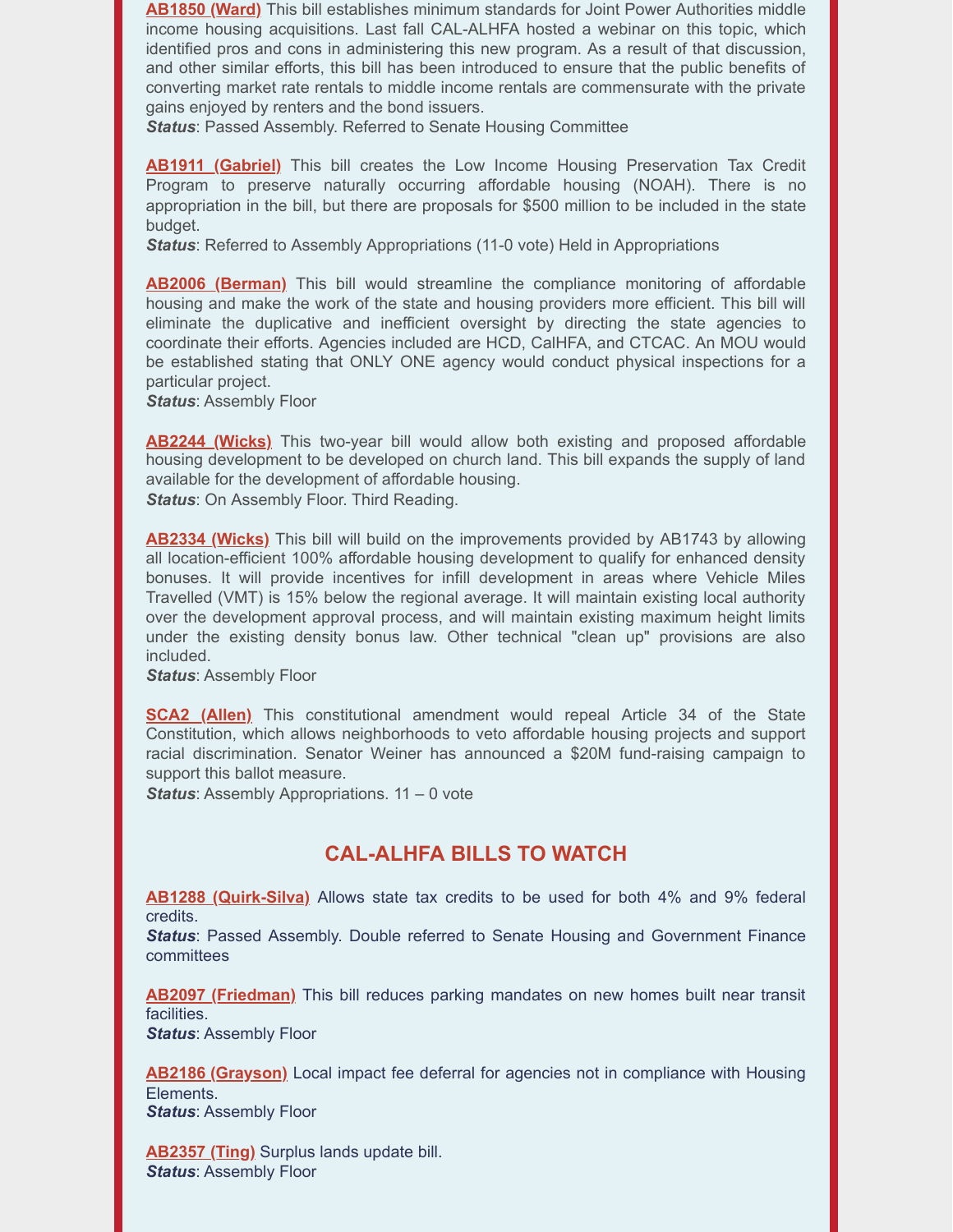**[AB1850 \(Ward\)](https://leginfo.legislature.ca.gov/faces/billNavClient.xhtml?bill_id=202120220AB1850)** This bill establishes minimum standards for Joint Power Authorities middle income housing acquisitions. Last fall CAL-ALHFA hosted a webinar on this topic, which identified pros and cons in administering this new program. As a result of that discussion, and other similar efforts, this bill has been introduced to ensure that the public benefits of converting market rate rentals to middle income rentals are commensurate with the private gains enjoyed by renters and the bond issuers.

*Status*: Passed Assembly. Referred to Senate Housing Committee

**[AB1911 \(Gabriel\)](https://leginfo.legislature.ca.gov/faces/billNavClient.xhtml?bill_id=202120220AB1911)** This bill creates the Low Income Housing Preservation Tax Credit Program to preserve naturally occurring affordable housing (NOAH). There is no appropriation in the bill, but there are proposals for \$500 million to be included in the state budget.

*Status*: Referred to Assembly Appropriations (11-0 vote) Held in Appropriations

**[AB2006 \(Berman\)](https://leginfo.legislature.ca.gov/faces/billNavClient.xhtml?bill_id=202120220AB2006)** This bill would streamline the compliance monitoring of affordable housing and make the work of the state and housing providers more efficient. This bill will eliminate the duplicative and inefficient oversight by directing the state agencies to coordinate their efforts. Agencies included are HCD, CalHFA, and CTCAC. An MOU would be established stating that ONLY ONE agency would conduct physical inspections for a particular project.

*Status*: Assembly Floor

**[AB2244 \(Wicks\)](https://leginfo.legislature.ca.gov/faces/billNavClient.xhtml?bill_id=202120220AB2244)** This two-year bill would allow both existing and proposed affordable housing development to be developed on church land. This bill expands the supply of land available for the development of affordable housing. **Status:** On Assembly Floor. Third Reading.

**[AB2334 \(Wicks\)](https://leginfo.legislature.ca.gov/faces/billNavClient.xhtml?bill_id=202120220AB2334)** This bill will build on the improvements provided by AB1743 by allowing all location-efficient 100% affordable housing development to qualify for enhanced density bonuses. It will provide incentives for infill development in areas where Vehicle Miles Travelled (VMT) is 15% below the regional average. It will maintain existing local authority over the development approval process, and will maintain existing maximum height limits under the existing density bonus law. Other technical "clean up" provisions are also included.

*Status*: Assembly Floor

**[SCA2 \(Allen\)](https://leginfo.legislature.ca.gov/faces/billNavClient.xhtml?bill_id=202120220SCA2)** This constitutional amendment would repeal Article 34 of the State Constitution, which allows neighborhoods to veto affordable housing projects and support racial discrimination. Senator Weiner has announced a \$20M fund-raising campaign to support this ballot measure.

**Status:** Assembly Appropriations. 11 – 0 vote

#### **CAL-ALHFA BILLS TO WATCH**

**[AB1288 \(Quirk-Silva\)](https://leginfo.legislature.ca.gov/faces/billNavClient.xhtml?bill_id=202120220AB1288)** Allows state tax credits to be used for both 4% and 9% federal credits.

*Status*: Passed Assembly. Double referred to Senate Housing and Government Finance committees

**[AB2097 \(Friedman\)](https://leginfo.legislature.ca.gov/faces/billNavClient.xhtml?bill_id=202120220AB2097)** This bill reduces parking mandates on new homes built near transit facilities.

*Status*: Assembly Floor

**[AB2186 \(Grayson\)](https://leginfo.legislature.ca.gov/faces/billNavClient.xhtml?bill_id=202120220AB2186)** Local impact fee deferral for agencies not in compliance with Housing Elements. *Status*: Assembly Floor

**[AB2357 \(Ting\)](https://leginfo.legislature.ca.gov/faces/billNavClient.xhtml?bill_id=202120220AB2357)** Surplus lands update bill. *Status*: Assembly Floor